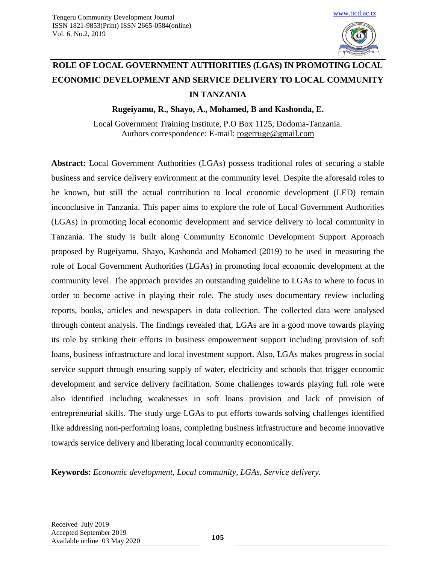

# **ROLE OF LOCAL GOVERNMENT AUTHORITIES (LGAS) IN PROMOTING LOCAL ECONOMIC DEVELOPMENT AND SERVICE DELIVERY TO LOCAL COMMUNITY IN TANZANIA**

**Rugeiyamu, R., Shayo, A., Mohamed, B and Kashonda, E.**

Local Government Training Institute, P.O Box 1125, Dodoma-Tanzania. Authors correspondence: E-mail: [rogerruge@gmail.com](mailto:rogerruge@gmail.com)

**Abstract:** Local Government Authorities (LGAs) possess traditional roles of securing a stable business and service delivery environment at the community level. Despite the aforesaid roles to be known, but still the actual contribution to local economic development (LED) remain inconclusive in Tanzania. This paper aims to explore the role of Local Government Authorities (LGAs) in promoting local economic development and service delivery to local community in Tanzania. The study is built along Community Economic Development Support Approach proposed by Rugeiyamu, Shayo, Kashonda and Mohamed (2019) to be used in measuring the role of Local Government Authorities (LGAs) in promoting local economic development at the community level. The approach provides an outstanding guideline to LGAs to where to focus in order to become active in playing their role. The study uses documentary review including reports, books, articles and newspapers in data collection. The collected data were analysed through content analysis. The findings revealed that, LGAs are in a good move towards playing its role by striking their efforts in business empowerment support including provision of soft loans, business infrastructure and local investment support. Also, LGAs makes progress in social service support through ensuring supply of water, electricity and schools that trigger economic development and service delivery facilitation. Some challenges towards playing full role were also identified including weaknesses in soft loans provision and lack of provision of entrepreneurial skills. The study urge LGAs to put efforts towards solving challenges identified like addressing non-performing loans, completing business infrastructure and become innovative towards service delivery and liberating local community economically.

**Keywords:** *Economic development, Local community, LGAs, Service delivery.*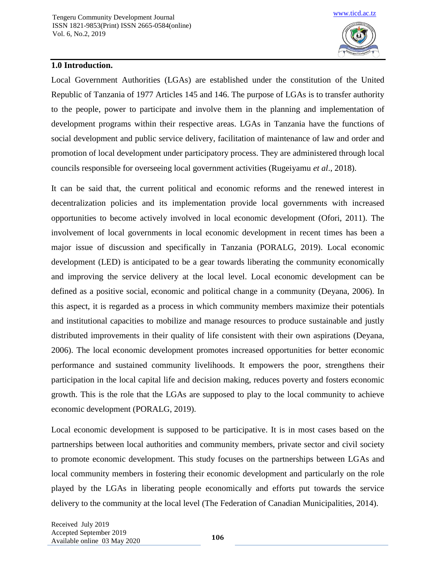

## **1.0 Introduction.**

Local Government Authorities (LGAs) are established under the constitution of the United Republic of Tanzania of 1977 Articles 145 and 146. The purpose of LGAs is to transfer authority to the people, power to participate and involve them in the planning and implementation of development programs within their respective areas. LGAs in Tanzania have the functions of social development and public service delivery, facilitation of maintenance of law and order and promotion of local development under participatory process. They are administered through local councils responsible for overseeing local government activities (Rugeiyamu *et al*., 2018).

It can be said that, the current political and economic reforms and the renewed interest in decentralization policies and its implementation provide local governments with increased opportunities to become actively involved in local economic development (Ofori, 2011). The involvement of local governments in local economic development in recent times has been a major issue of discussion and specifically in Tanzania (PORALG, 2019). Local economic development (LED) is anticipated to be a gear towards liberating the community economically and improving the service delivery at the local level. Local economic development can be defined as a positive social, economic and political change in a community (Deyana, 2006). In this aspect, it is regarded as a process in which community members maximize their potentials and institutional capacities to mobilize and manage resources to produce sustainable and justly distributed improvements in their quality of life consistent with their own aspirations (Deyana, 2006). The local economic development promotes increased opportunities for better economic performance and sustained community livelihoods. It empowers the poor, strengthens their participation in the local capital life and decision making, reduces poverty and fosters economic growth. This is the role that the LGAs are supposed to play to the local community to achieve economic development (PORALG, 2019).

Local economic development is supposed to be participative. It is in most cases based on the partnerships between local authorities and community members, private sector and civil society to promote economic development. This study focuses on the partnerships between LGAs and local community members in fostering their economic development and particularly on the role played by the LGAs in liberating people economically and efforts put towards the service delivery to the community at the local level (The Federation of Canadian Municipalities, 2014).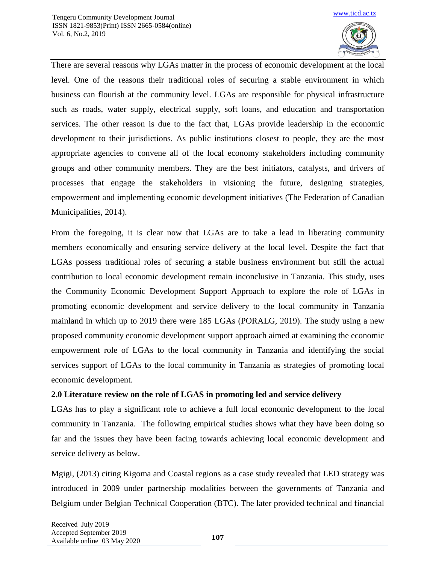

There are several reasons why LGAs matter in the process of economic development at the local level. One of the reasons their traditional roles of securing a stable environment in which business can flourish at the community level. LGAs are responsible for physical infrastructure such as roads, water supply, electrical supply, soft loans, and education and transportation services. The other reason is due to the fact that, LGAs provide leadership in the economic development to their jurisdictions. As public institutions closest to people, they are the most appropriate agencies to convene all of the local economy stakeholders including community groups and other community members. They are the best initiators, catalysts, and drivers of processes that engage the stakeholders in visioning the future, designing strategies, empowerment and implementing economic development initiatives (The Federation of Canadian Municipalities, 2014).

From the foregoing, it is clear now that LGAs are to take a lead in liberating community members economically and ensuring service delivery at the local level. Despite the fact that LGAs possess traditional roles of securing a stable business environment but still the actual contribution to local economic development remain inconclusive in Tanzania. This study, uses the Community Economic Development Support Approach to explore the role of LGAs in promoting economic development and service delivery to the local community in Tanzania mainland in which up to 2019 there were 185 LGAs (PORALG, 2019). The study using a new proposed community economic development support approach aimed at examining the economic empowerment role of LGAs to the local community in Tanzania and identifying the social services support of LGAs to the local community in Tanzania as strategies of promoting local economic development.

# **2.0 Literature review on the role of LGAS in promoting led and service delivery**

LGAs has to play a significant role to achieve a full local economic development to the local community in Tanzania. The following empirical studies shows what they have been doing so far and the issues they have been facing towards achieving local economic development and service delivery as below.

Mgigi, (2013) citing Kigoma and Coastal regions as a case study revealed that LED strategy was introduced in 2009 under partnership modalities between the governments of Tanzania and Belgium under Belgian Technical Cooperation (BTC). The later provided technical and financial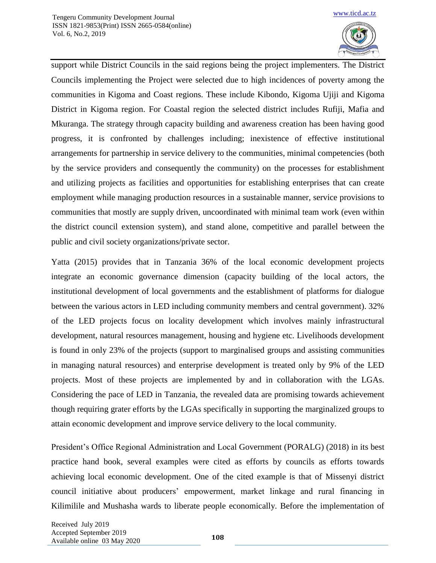

support while District Councils in the said regions being the project implementers. The District Councils implementing the Project were selected due to high incidences of poverty among the communities in Kigoma and Coast regions. These include Kibondo, Kigoma Ujiji and Kigoma District in Kigoma region. For Coastal region the selected district includes Rufiji, Mafia and Mkuranga. The strategy through capacity building and awareness creation has been having good progress, it is confronted by challenges including; inexistence of effective institutional arrangements for partnership in service delivery to the communities, minimal competencies (both by the service providers and consequently the community) on the processes for establishment and utilizing projects as facilities and opportunities for establishing enterprises that can create employment while managing production resources in a sustainable manner, service provisions to communities that mostly are supply driven, uncoordinated with minimal team work (even within the district council extension system), and stand alone, competitive and parallel between the public and civil society organizations/private sector.

Yatta (2015) provides that in Tanzania 36% of the local economic development projects integrate an economic governance dimension (capacity building of the local actors, the institutional development of local governments and the establishment of platforms for dialogue between the various actors in LED including community members and central government). 32% of the LED projects focus on locality development which involves mainly infrastructural development, natural resources management, housing and hygiene etc. Livelihoods development is found in only 23% of the projects (support to marginalised groups and assisting communities in managing natural resources) and enterprise development is treated only by 9% of the LED projects. Most of these projects are implemented by and in collaboration with the LGAs. Considering the pace of LED in Tanzania, the revealed data are promising towards achievement though requiring grater efforts by the LGAs specifically in supporting the marginalized groups to attain economic development and improve service delivery to the local community.

President's Office Regional Administration and Local Government (PORALG) (2018) in its best practice hand book, several examples were cited as efforts by councils as efforts towards achieving local economic development. One of the cited example is that of Missenyi district council initiative about producers' empowerment, market linkage and rural financing in Kilimilile and Mushasha wards to liberate people economically. Before the implementation of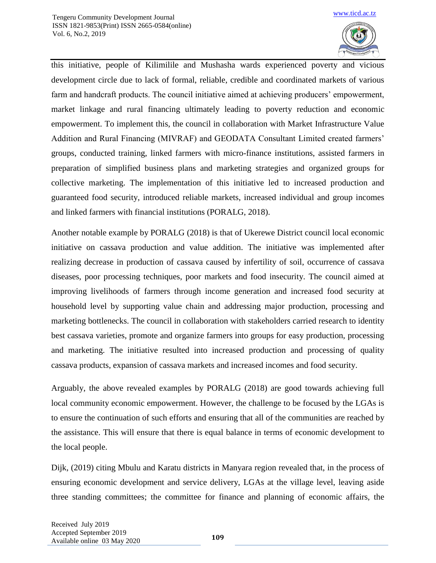

this initiative, people of Kilimilile and Mushasha wards experienced poverty and vicious development circle due to lack of formal, reliable, credible and coordinated markets of various farm and handcraft products. The council initiative aimed at achieving producers' empowerment, market linkage and rural financing ultimately leading to poverty reduction and economic empowerment. To implement this, the council in collaboration with Market Infrastructure Value Addition and Rural Financing (MIVRAF) and GEODATA Consultant Limited created farmers' groups, conducted training, linked farmers with micro-finance institutions, assisted farmers in preparation of simplified business plans and marketing strategies and organized groups for collective marketing. The implementation of this initiative led to increased production and guaranteed food security, introduced reliable markets, increased individual and group incomes and linked farmers with financial institutions (PORALG, 2018).

Another notable example by PORALG (2018) is that of Ukerewe District council local economic initiative on cassava production and value addition. The initiative was implemented after realizing decrease in production of cassava caused by infertility of soil, occurrence of cassava diseases, poor processing techniques, poor markets and food insecurity. The council aimed at improving livelihoods of farmers through income generation and increased food security at household level by supporting value chain and addressing major production, processing and marketing bottlenecks. The council in collaboration with stakeholders carried research to identity best cassava varieties, promote and organize farmers into groups for easy production, processing and marketing. The initiative resulted into increased production and processing of quality cassava products, expansion of cassava markets and increased incomes and food security.

Arguably, the above revealed examples by PORALG (2018) are good towards achieving full local community economic empowerment. However, the challenge to be focused by the LGAs is to ensure the continuation of such efforts and ensuring that all of the communities are reached by the assistance. This will ensure that there is equal balance in terms of economic development to the local people.

Dijk, (2019) citing Mbulu and Karatu districts in Manyara region revealed that, in the process of ensuring economic development and service delivery, LGAs at the village level, leaving aside three standing committees; the committee for finance and planning of economic affairs, the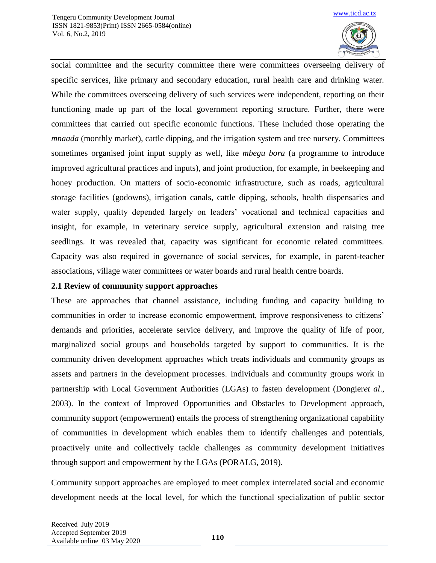

social committee and the security committee there were committees overseeing delivery of specific services, like primary and secondary education, rural health care and drinking water. While the committees overseeing delivery of such services were independent, reporting on their functioning made up part of the local government reporting structure. Further, there were committees that carried out specific economic functions. These included those operating the *mnaada* (monthly market), cattle dipping, and the irrigation system and tree nursery. Committees sometimes organised joint input supply as well, like *mbegu bora* (a programme to introduce improved agricultural practices and inputs), and joint production, for example, in beekeeping and honey production. On matters of socio-economic infrastructure, such as roads, agricultural storage facilities (godowns), irrigation canals, cattle dipping, schools, health dispensaries and water supply, quality depended largely on leaders' vocational and technical capacities and insight, for example, in veterinary service supply, agricultural extension and raising tree seedlings. It was revealed that, capacity was significant for economic related committees. Capacity was also required in governance of social services, for example, in parent-teacher associations, village water committees or water boards and rural health centre boards.

#### **2.1 Review of community support approaches**

These are approaches that channel assistance, including funding and capacity building to communities in order to increase economic empowerment, improve responsiveness to citizens' demands and priorities, accelerate service delivery, and improve the quality of life of poor, marginalized social groups and households targeted by support to communities. It is the community driven development approaches which treats individuals and community groups as assets and partners in the development processes. Individuals and community groups work in partnership with Local Government Authorities (LGAs) to fasten development (Dongier*et al*., 2003). In the context of Improved Opportunities and Obstacles to Development approach, community support (empowerment) entails the process of strengthening organizational capability of communities in development which enables them to identify challenges and potentials, proactively unite and collectively tackle challenges as community development initiatives through support and empowerment by the LGAs (PORALG, 2019).

Community support approaches are employed to meet complex interrelated social and economic development needs at the local level, for which the functional specialization of public sector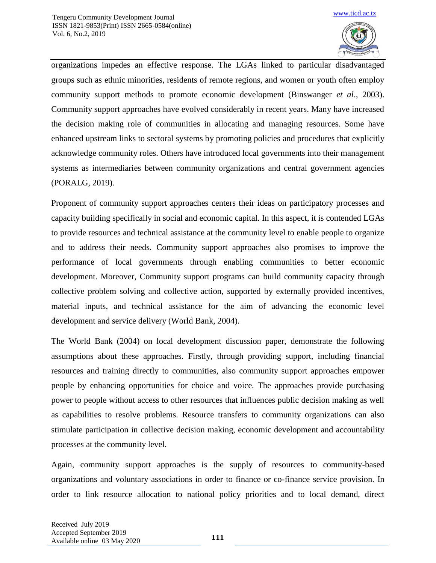

organizations impedes an effective response. The LGAs linked to particular disadvantaged groups such as ethnic minorities, residents of remote regions, and women or youth often employ community support methods to promote economic development (Binswanger *et al*., 2003). Community support approaches have evolved considerably in recent years. Many have increased the decision making role of communities in allocating and managing resources. Some have enhanced upstream links to sectoral systems by promoting policies and procedures that explicitly acknowledge community roles. Others have introduced local governments into their management systems as intermediaries between community organizations and central government agencies (PORALG, 2019).

Proponent of community support approaches centers their ideas on participatory processes and capacity building specifically in social and economic capital. In this aspect, it is contended LGAs to provide resources and technical assistance at the community level to enable people to organize and to address their needs. Community support approaches also promises to improve the performance of local governments through enabling communities to better economic development. Moreover, Community support programs can build community capacity through collective problem solving and collective action, supported by externally provided incentives, material inputs, and technical assistance for the aim of advancing the economic level development and service delivery (World Bank, 2004).

The World Bank (2004) on local development discussion paper, demonstrate the following assumptions about these approaches. Firstly, through providing support, including financial resources and training directly to communities, also community support approaches empower people by enhancing opportunities for choice and voice. The approaches provide purchasing power to people without access to other resources that influences public decision making as well as capabilities to resolve problems. Resource transfers to community organizations can also stimulate participation in collective decision making, economic development and accountability processes at the community level.

Again, community support approaches is the supply of resources to community-based organizations and voluntary associations in order to finance or co-finance service provision. In order to link resource allocation to national policy priorities and to local demand, direct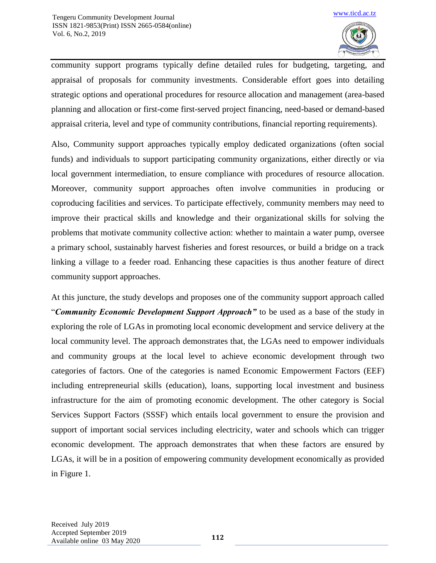

community support programs typically define detailed rules for budgeting, targeting, and appraisal of proposals for community investments. Considerable effort goes into detailing strategic options and operational procedures for resource allocation and management (area-based planning and allocation or first-come first-served project financing, need-based or demand-based appraisal criteria, level and type of community contributions, financial reporting requirements).

Also, Community support approaches typically employ dedicated organizations (often social funds) and individuals to support participating community organizations, either directly or via local government intermediation, to ensure compliance with procedures of resource allocation. Moreover, community support approaches often involve communities in producing or coproducing facilities and services. To participate effectively, community members may need to improve their practical skills and knowledge and their organizational skills for solving the problems that motivate community collective action: whether to maintain a water pump, oversee a primary school, sustainably harvest fisheries and forest resources, or build a bridge on a track linking a village to a feeder road. Enhancing these capacities is thus another feature of direct community support approaches.

At this juncture, the study develops and proposes one of the community support approach called "*Community Economic Development Support Approach"* to be used as a base of the study in exploring the role of LGAs in promoting local economic development and service delivery at the local community level. The approach demonstrates that, the LGAs need to empower individuals and community groups at the local level to achieve economic development through two categories of factors. One of the categories is named Economic Empowerment Factors (EEF) including entrepreneurial skills (education), loans, supporting local investment and business infrastructure for the aim of promoting economic development. The other category is Social Services Support Factors (SSSF) which entails local government to ensure the provision and support of important social services including electricity, water and schools which can trigger economic development. The approach demonstrates that when these factors are ensured by LGAs, it will be in a position of empowering community development economically as provided in Figure 1.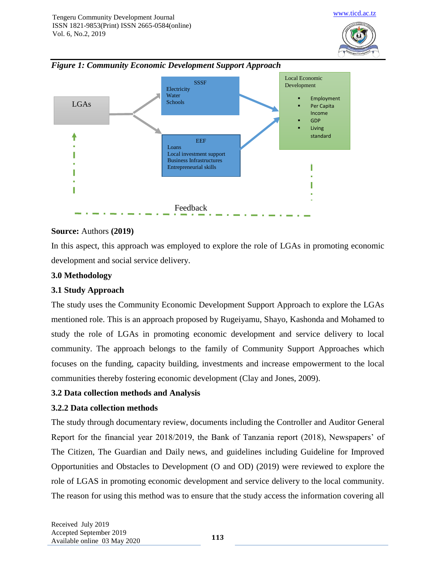





#### **Source:** Authors **(2019)**

In this aspect, this approach was employed to explore the role of LGAs in promoting economic development and social service delivery.

#### **3.0 Methodology**

# **3.1 Study Approach**

The study uses the Community Economic Development Support Approach to explore the LGAs mentioned role. This is an approach proposed by Rugeiyamu, Shayo, Kashonda and Mohamed to study the role of LGAs in promoting economic development and service delivery to local community. The approach belongs to the family of Community Support Approaches which focuses on the funding, capacity building, investments and increase empowerment to the local communities thereby fostering economic development (Clay and Jones, 2009).

# **3.2 Data collection methods and Analysis**

#### **3.2.2 Data collection methods**

The study through documentary review, documents including the Controller and Auditor General Report for the financial year 2018/2019, the Bank of Tanzania report (2018), Newspapers' of The Citizen, The Guardian and Daily news, and guidelines including Guideline for Improved Opportunities and Obstacles to Development (O and OD) (2019) were reviewed to explore the role of LGAS in promoting economic development and service delivery to the local community. The reason for using this method was to ensure that the study access the information covering all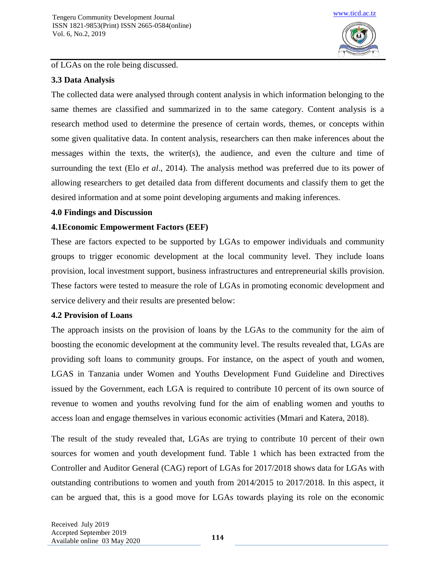

#### of LGAs on the role being discussed.

# **3.3 Data Analysis**

The collected data were analysed through content analysis in which information belonging to the same themes are classified and summarized in to the same category. Content analysis is a research method used to determine the presence of certain words, themes, or concepts within some given qualitative data. In content analysis, researchers can then make inferences about the messages within the texts, the writer(s), the audience, and even the culture and time of surrounding the text (Elo *et al*., 2014). The analysis method was preferred due to its power of allowing researchers to get detailed data from different documents and classify them to get the desired information and at some point developing arguments and making inferences.

# **4.0 Findings and Discussion**

# **4.1Economic Empowerment Factors (EEF)**

These are factors expected to be supported by LGAs to empower individuals and community groups to trigger economic development at the local community level. They include loans provision, local investment support, business infrastructures and entrepreneurial skills provision. These factors were tested to measure the role of LGAs in promoting economic development and service delivery and their results are presented below:

# **4.2 Provision of Loans**

The approach insists on the provision of loans by the LGAs to the community for the aim of boosting the economic development at the community level. The results revealed that, LGAs are providing soft loans to community groups. For instance, on the aspect of youth and women, LGAS in Tanzania under Women and Youths Development Fund Guideline and Directives issued by the Government, each LGA is required to contribute 10 percent of its own source of revenue to women and youths revolving fund for the aim of enabling women and youths to access loan and engage themselves in various economic activities (Mmari and Katera, 2018).

The result of the study revealed that, LGAs are trying to contribute 10 percent of their own sources for women and youth development fund. Table 1 which has been extracted from the Controller and Auditor General (CAG) report of LGAs for 2017/2018 shows data for LGAs with outstanding contributions to women and youth from 2014/2015 to 2017/2018. In this aspect, it can be argued that, this is a good move for LGAs towards playing its role on the economic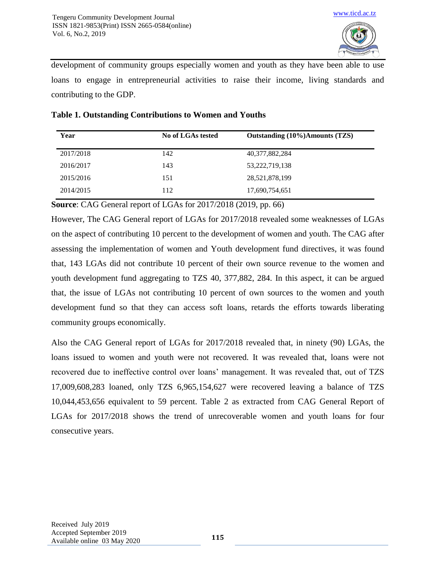

development of community groups especially women and youth as they have been able to use loans to engage in entrepreneurial activities to raise their income, living standards and contributing to the GDP.

| Year      | No of LGAs tested | Outstanding (10%)Amounts (TZS) |  |  |  |
|-----------|-------------------|--------------------------------|--|--|--|
| 2017/2018 | 142               | 40,377,882,284                 |  |  |  |
| 2016/2017 | 143               | 53,222,719,138                 |  |  |  |
| 2015/2016 | 151               | 28,521,878,199                 |  |  |  |
| 2014/2015 | 112               | 17,690,754,651                 |  |  |  |

#### **Table 1. Outstanding Contributions to Women and Youths**

**Source**: CAG General report of LGAs for 2017/2018 (2019, pp. 66)

However, The CAG General report of LGAs for 2017/2018 revealed some weaknesses of LGAs on the aspect of contributing 10 percent to the development of women and youth. The CAG after assessing the implementation of women and Youth development fund directives, it was found that, 143 LGAs did not contribute 10 percent of their own source revenue to the women and youth development fund aggregating to TZS 40, 377,882, 284. In this aspect, it can be argued that, the issue of LGAs not contributing 10 percent of own sources to the women and youth development fund so that they can access soft loans, retards the efforts towards liberating community groups economically.

Also the CAG General report of LGAs for 2017/2018 revealed that, in ninety (90) LGAs, the loans issued to women and youth were not recovered. It was revealed that, loans were not recovered due to ineffective control over loans' management. It was revealed that, out of TZS 17,009,608,283 loaned, only TZS 6,965,154,627 were recovered leaving a balance of TZS 10,044,453,656 equivalent to 59 percent. Table 2 as extracted from CAG General Report of LGAs for 2017/2018 shows the trend of unrecoverable women and youth loans for four consecutive years.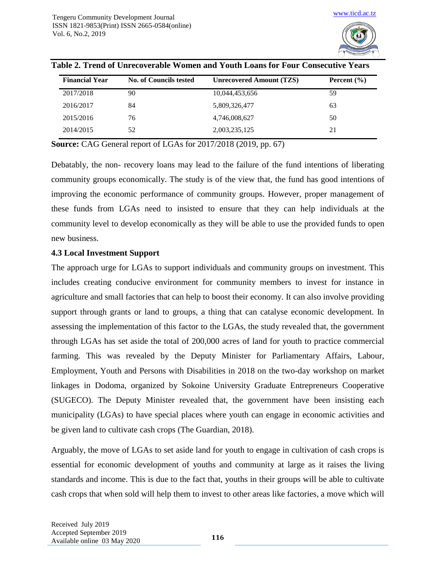

| <b>Financial Year</b> | <b>No. of Councils tested</b> | <b>Unrecovered Amount (TZS)</b> | Percent $(\% )$ |  |
|-----------------------|-------------------------------|---------------------------------|-----------------|--|
| 2017/2018             | 90                            | 10,044,453,656                  | 59              |  |
| 2016/2017             | 84                            | 5,809,326,477                   | 63              |  |
| 2015/2016             | 76                            | 4,746,008,627                   | 50              |  |
| 2014/2015             | 52                            | 2,003,235,125                   | 21              |  |

|  | Table 2. Trend of Unrecoverable Women and Youth Loans for Four Consecutive Years |  |  |  |
|--|----------------------------------------------------------------------------------|--|--|--|
|  |                                                                                  |  |  |  |
|  |                                                                                  |  |  |  |
|  |                                                                                  |  |  |  |

**Source:** CAG General report of LGAs for 2017/2018 (2019, pp. 67)

Debatably, the non- recovery loans may lead to the failure of the fund intentions of liberating community groups economically. The study is of the view that, the fund has good intentions of improving the economic performance of community groups. However, proper management of these funds from LGAs need to insisted to ensure that they can help individuals at the community level to develop economically as they will be able to use the provided funds to open new business.

#### **4.3 Local Investment Support**

The approach urge for LGAs to support individuals and community groups on investment. This includes creating conducive environment for community members to invest for instance in agriculture and small factories that can help to boost their economy. It can also involve providing support through grants or land to groups, a thing that can catalyse economic development. In assessing the implementation of this factor to the LGAs, the study revealed that, the government through LGAs has set aside the total of 200,000 acres of land for youth to practice commercial farming. This was revealed by the Deputy Minister for Parliamentary Affairs, Labour, Employment, Youth and Persons with Disabilities in 2018 on the two-day workshop on market linkages in Dodoma, organized by Sokoine University Graduate Entrepreneurs Cooperative (SUGECO). The Deputy Minister revealed that, the government have been insisting each municipality (LGAs) to have special places where youth can engage in economic activities and be given land to cultivate cash crops (The Guardian, 2018).

Arguably, the move of LGAs to set aside land for youth to engage in cultivation of cash crops is essential for economic development of youths and community at large as it raises the living standards and income. This is due to the fact that, youths in their groups will be able to cultivate cash crops that when sold will help them to invest to other areas like factories, a move which will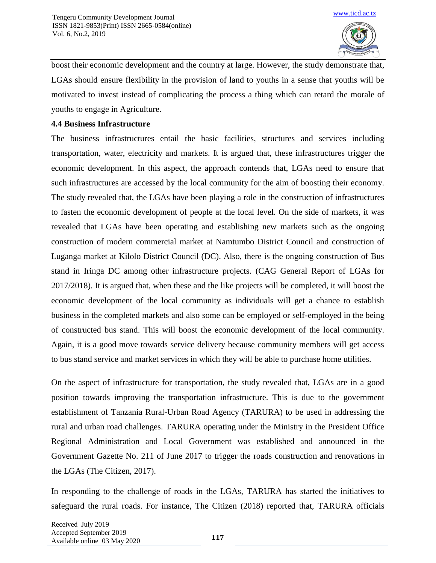

boost their economic development and the country at large. However, the study demonstrate that, LGAs should ensure flexibility in the provision of land to youths in a sense that youths will be motivated to invest instead of complicating the process a thing which can retard the morale of youths to engage in Agriculture.

#### **4.4 Business Infrastructure**

The business infrastructures entail the basic facilities, structures and services including transportation, water, electricity and markets. It is argued that, these infrastructures trigger the economic development. In this aspect, the approach contends that, LGAs need to ensure that such infrastructures are accessed by the local community for the aim of boosting their economy. The study revealed that, the LGAs have been playing a role in the construction of infrastructures to fasten the economic development of people at the local level. On the side of markets, it was revealed that LGAs have been operating and establishing new markets such as the ongoing construction of modern commercial market at Namtumbo District Council and construction of Luganga market at Kilolo District Council (DC). Also, there is the ongoing construction of Bus stand in Iringa DC among other infrastructure projects. (CAG General Report of LGAs for 2017/2018). It is argued that, when these and the like projects will be completed, it will boost the economic development of the local community as individuals will get a chance to establish business in the completed markets and also some can be employed or self-employed in the being of constructed bus stand. This will boost the economic development of the local community. Again, it is a good move towards service delivery because community members will get access to bus stand service and market services in which they will be able to purchase home utilities.

On the aspect of infrastructure for transportation, the study revealed that, LGAs are in a good position towards improving the transportation infrastructure. This is due to the government establishment of Tanzania Rural-Urban Road Agency (TARURA) to be used in addressing the rural and urban road challenges. TARURA operating under the Ministry in the President Office Regional Administration and Local Government was established and announced in the Government Gazette No. 211 of June 2017 to trigger the roads construction and renovations in the LGAs (The Citizen, 2017).

In responding to the challenge of roads in the LGAs, TARURA has started the initiatives to safeguard the rural roads. For instance, The Citizen (2018) reported that, TARURA officials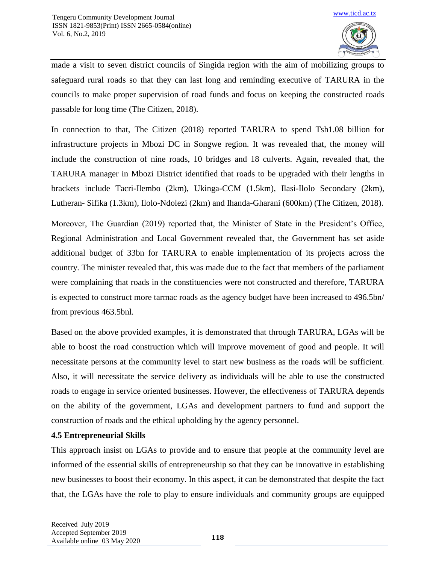

made a visit to seven district councils of Singida region with the aim of mobilizing groups to safeguard rural roads so that they can last long and reminding executive of TARURA in the councils to make proper supervision of road funds and focus on keeping the constructed roads passable for long time (The Citizen, 2018).

In connection to that, The Citizen (2018) reported TARURA to spend Tsh1.08 billion for infrastructure projects in Mbozi DC in Songwe region. It was revealed that, the money will include the construction of nine roads, 10 bridges and 18 culverts. Again, revealed that, the TARURA manager in Mbozi District identified that roads to be upgraded with their lengths in brackets include Tacri-Ilembo (2km), Ukinga-CCM (1.5km), Ilasi-Ilolo Secondary (2km), Lutheran- Sifika (1.3km), Ilolo-Ndolezi (2km) and Ihanda-Gharani (600km) (The Citizen, 2018).

Moreover, The Guardian (2019) reported that, the Minister of State in the President's Office, Regional Administration and Local Government revealed that, the Government has set aside additional budget of 33bn for TARURA to enable implementation of its projects across the country. The minister revealed that, this was made due to the fact that members of the parliament were complaining that roads in the constituencies were not constructed and therefore, TARURA is expected to construct more tarmac roads as the agency budget have been increased to 496.5bn/ from previous 463.5bnl.

Based on the above provided examples, it is demonstrated that through TARURA, LGAs will be able to boost the road construction which will improve movement of good and people. It will necessitate persons at the community level to start new business as the roads will be sufficient. Also, it will necessitate the service delivery as individuals will be able to use the constructed roads to engage in service oriented businesses. However, the effectiveness of TARURA depends on the ability of the government, LGAs and development partners to fund and support the construction of roads and the ethical upholding by the agency personnel.

# **4.5 Entrepreneurial Skills**

This approach insist on LGAs to provide and to ensure that people at the community level are informed of the essential skills of entrepreneurship so that they can be innovative in establishing new businesses to boost their economy. In this aspect, it can be demonstrated that despite the fact that, the LGAs have the role to play to ensure individuals and community groups are equipped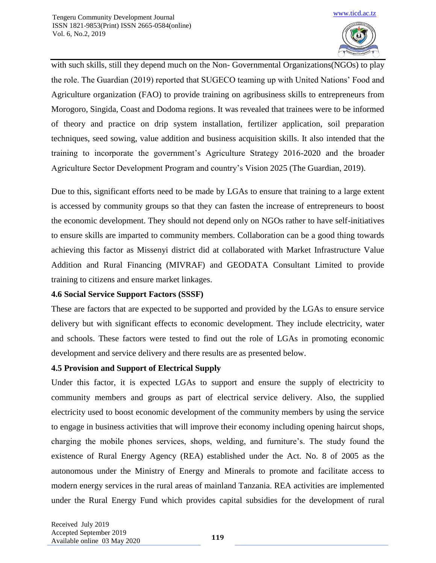

with such skills, still they depend much on the Non- Governmental Organizations(NGOs) to play the role. The Guardian (2019) reported that SUGECO teaming up with United Nations' Food and Agriculture organization (FAO) to provide training on agribusiness skills to entrepreneurs from Morogoro, Singida, Coast and Dodoma regions. It was revealed that trainees were to be informed of theory and practice on drip system installation, fertilizer application, soil preparation techniques, seed sowing, value addition and business acquisition skills. It also intended that the training to incorporate the government's Agriculture Strategy 2016-2020 and the broader Agriculture Sector Development Program and country's Vision 2025 (The Guardian, 2019).

Due to this, significant efforts need to be made by LGAs to ensure that training to a large extent is accessed by community groups so that they can fasten the increase of entrepreneurs to boost the economic development. They should not depend only on NGOs rather to have self-initiatives to ensure skills are imparted to community members. Collaboration can be a good thing towards achieving this factor as Missenyi district did at collaborated with Market Infrastructure Value Addition and Rural Financing (MIVRAF) and GEODATA Consultant Limited to provide training to citizens and ensure market linkages.

# **4.6 Social Service Support Factors (SSSF)**

These are factors that are expected to be supported and provided by the LGAs to ensure service delivery but with significant effects to economic development. They include electricity, water and schools. These factors were tested to find out the role of LGAs in promoting economic development and service delivery and there results are as presented below.

#### **4.5 Provision and Support of Electrical Supply**

Under this factor, it is expected LGAs to support and ensure the supply of electricity to community members and groups as part of electrical service delivery. Also, the supplied electricity used to boost economic development of the community members by using the service to engage in business activities that will improve their economy including opening haircut shops, charging the mobile phones services, shops, welding, and furniture's. The study found the existence of Rural Energy Agency (REA) established under the Act. No. 8 of 2005 as the autonomous under the Ministry of Energy and Minerals to promote and facilitate access to modern energy services in the rural areas of mainland Tanzania. REA activities are implemented under the Rural Energy Fund which provides capital subsidies for the development of rural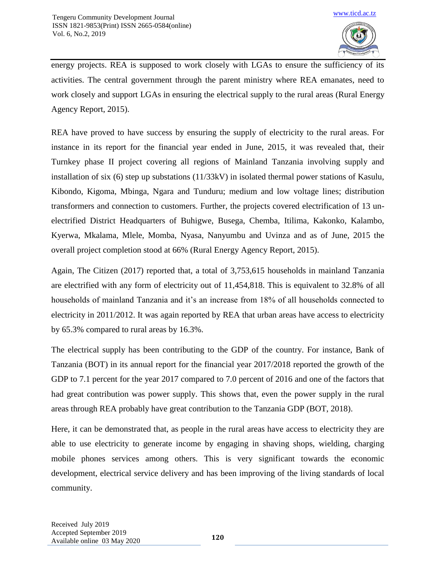

energy projects. REA is supposed to work closely with LGAs to ensure the sufficiency of its activities. The central government through the parent ministry where REA emanates, need to work closely and support LGAs in ensuring the electrical supply to the rural areas (Rural Energy Agency Report, 2015).

REA have proved to have success by ensuring the supply of electricity to the rural areas. For instance in its report for the financial year ended in June, 2015, it was revealed that, their Turnkey phase II project covering all regions of Mainland Tanzania involving supply and installation of six (6) step up substations (11/33kV) in isolated thermal power stations of Kasulu, Kibondo, Kigoma, Mbinga, Ngara and Tunduru; medium and low voltage lines; distribution transformers and connection to customers. Further, the projects covered electrification of 13 unelectrified District Headquarters of Buhigwe, Busega, Chemba, Itilima, Kakonko, Kalambo, Kyerwa, Mkalama, Mlele, Momba, Nyasa, Nanyumbu and Uvinza and as of June, 2015 the overall project completion stood at 66% (Rural Energy Agency Report, 2015).

Again, The Citizen (2017) reported that, a total of 3,753,615 households in mainland Tanzania are electrified with any form of electricity out of 11,454,818. This is equivalent to 32.8% of all households of mainland Tanzania and it's an increase from 18% of all households connected to electricity in 2011/2012. It was again reported by REA that urban areas have access to electricity by 65.3% compared to rural areas by 16.3%.

The electrical supply has been contributing to the GDP of the country. For instance, Bank of Tanzania (BOT) in its annual report for the financial year 2017/2018 reported the growth of the GDP to 7.1 percent for the year 2017 compared to 7.0 percent of 2016 and one of the factors that had great contribution was power supply. This shows that, even the power supply in the rural areas through REA probably have great contribution to the Tanzania GDP (BOT, 2018).

Here, it can be demonstrated that, as people in the rural areas have access to electricity they are able to use electricity to generate income by engaging in shaving shops, wielding, charging mobile phones services among others. This is very significant towards the economic development, electrical service delivery and has been improving of the living standards of local community.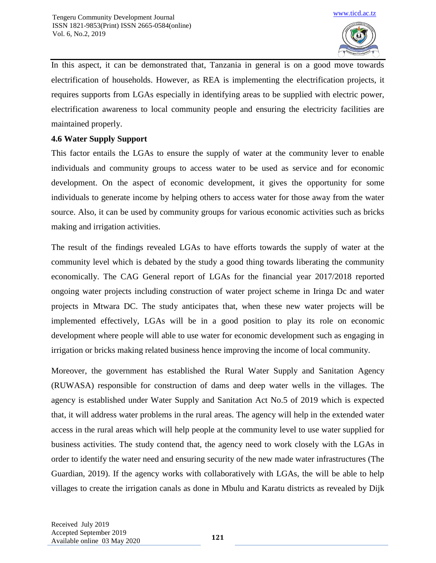

In this aspect, it can be demonstrated that, Tanzania in general is on a good move towards electrification of households. However, as REA is implementing the electrification projects, it requires supports from LGAs especially in identifying areas to be supplied with electric power, electrification awareness to local community people and ensuring the electricity facilities are maintained properly.

# **4.6 Water Supply Support**

This factor entails the LGAs to ensure the supply of water at the community lever to enable individuals and community groups to access water to be used as service and for economic development. On the aspect of economic development, it gives the opportunity for some individuals to generate income by helping others to access water for those away from the water source. Also, it can be used by community groups for various economic activities such as bricks making and irrigation activities.

The result of the findings revealed LGAs to have efforts towards the supply of water at the community level which is debated by the study a good thing towards liberating the community economically. The CAG General report of LGAs for the financial year 2017/2018 reported ongoing water projects including construction of water project scheme in Iringa Dc and water projects in Mtwara DC. The study anticipates that, when these new water projects will be implemented effectively, LGAs will be in a good position to play its role on economic development where people will able to use water for economic development such as engaging in irrigation or bricks making related business hence improving the income of local community.

Moreover, the government has established the Rural Water Supply and Sanitation Agency (RUWASA) responsible for construction of dams and deep water wells in the villages. The agency is established under Water Supply and Sanitation Act No.5 of 2019 which is expected that, it will address water problems in the rural areas. The agency will help in the extended water access in the rural areas which will help people at the community level to use water supplied for business activities. The study contend that, the agency need to work closely with the LGAs in order to identify the water need and ensuring security of the new made water infrastructures (The Guardian, 2019). If the agency works with collaboratively with LGAs, the will be able to help villages to create the irrigation canals as done in Mbulu and Karatu districts as revealed by Dijk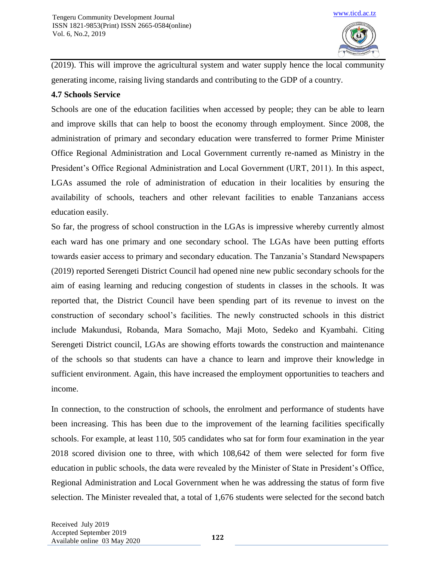

(2019). This will improve the agricultural system and water supply hence the local community generating income, raising living standards and contributing to the GDP of a country.

#### **4.7 Schools Service**

Schools are one of the education facilities when accessed by people; they can be able to learn and improve skills that can help to boost the economy through employment. Since 2008, the administration of primary and secondary education were transferred to former Prime Minister Office Regional Administration and Local Government currently re-named as Ministry in the President's Office Regional Administration and Local Government (URT, 2011). In this aspect, LGAs assumed the role of administration of education in their localities by ensuring the availability of schools, teachers and other relevant facilities to enable Tanzanians access education easily.

So far, the progress of school construction in the LGAs is impressive whereby currently almost each ward has one primary and one secondary school. The LGAs have been putting efforts towards easier access to primary and secondary education. The Tanzania's Standard Newspapers (2019) reported Serengeti District Council had opened nine new public secondary schools for the aim of easing learning and reducing congestion of students in classes in the schools. It was reported that, the District Council have been spending part of its revenue to invest on the construction of secondary school's facilities. The newly constructed schools in this district include Makundusi, Robanda, Mara Somacho, Maji Moto, Sedeko and Kyambahi. Citing Serengeti District council, LGAs are showing efforts towards the construction and maintenance of the schools so that students can have a chance to learn and improve their knowledge in sufficient environment. Again, this have increased the employment opportunities to teachers and income.

In connection, to the construction of schools, the enrolment and performance of students have been increasing. This has been due to the improvement of the learning facilities specifically schools. For example, at least 110, 505 candidates who sat for form four examination in the year 2018 scored division one to three, with which 108,642 of them were selected for form five education in public schools, the data were revealed by the Minister of State in President's Office, Regional Administration and Local Government when he was addressing the status of form five selection. The Minister revealed that, a total of 1,676 students were selected for the second batch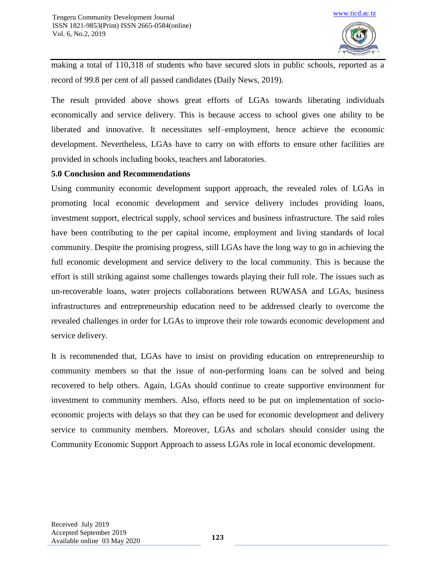

making a total of 110,318 of students who have secured slots in public schools, reported as a record of 99.8 per cent of all passed candidates (Daily News, 2019).

The result provided above shows great efforts of LGAs towards liberating individuals economically and service delivery. This is because access to school gives one ability to be liberated and innovative. It necessitates self–employment, hence achieve the economic development. Nevertheless, LGAs have to carry on with efforts to ensure other facilities are provided in schools including books, teachers and laboratories.

#### **5.0 Conclusion and Recommendations**

Using community economic development support approach, the revealed roles of LGAs in promoting local economic development and service delivery includes providing loans, investment support, electrical supply, school services and business infrastructure. The said roles have been contributing to the per capital income, employment and living standards of local community. Despite the promising progress, still LGAs have the long way to go in achieving the full economic development and service delivery to the local community. This is because the effort is still striking against some challenges towards playing their full role. The issues such as un-recoverable loans, water projects collaborations between RUWASA and LGAs, business infrastructures and entrepreneurship education need to be addressed clearly to overcome the revealed challenges in order for LGAs to improve their role towards economic development and service delivery.

It is recommended that, LGAs have to insist on providing education on entrepreneurship to community members so that the issue of non-performing loans can be solved and being recovered to help others. Again, LGAs should continue to create supportive environment for investment to community members. Also, efforts need to be put on implementation of socioeconomic projects with delays so that they can be used for economic development and delivery service to community members. Moreover, LGAs and scholars should consider using the Community Economic Support Approach to assess LGAs role in local economic development.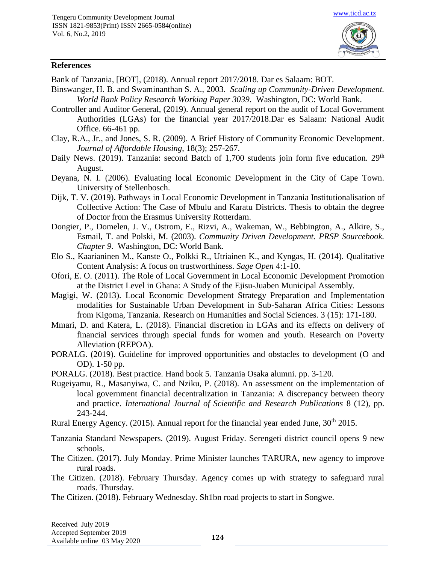

#### **References**

Bank of Tanzania, [BOT], (2018). Annual report 2017/2018. Dar es Salaam: BOT.

- Binswanger, H. B. and Swaminanthan S. A., 2003. *Scaling up Community-Driven Development. World Bank Policy Research Working Paper 3039*. Washington, DC: World Bank.
- Controller and Auditor General, (2019). Annual general report on the audit of Local Government Authorities (LGAs) for the financial year 2017/2018.Dar es Salaam: National Audit Office. 66-461 pp.
- Clay, R.A., Jr., and Jones, S. R. (2009). A Brief History of Community Economic Development. *Journal of Affordable Housing*, 18(3); 257-267.
- Daily News. (2019). Tanzania: second Batch of 1,700 students join form five education.  $29<sup>th</sup>$ August.
- Deyana, N. I. (2006). Evaluating local Economic Development in the City of Cape Town. University of Stellenbosch.
- Dijk, T. V. (2019). Pathways in Local Economic Development in Tanzania Institutionalisation of Collective Action: The Case of Mbulu and Karatu Districts. Thesis to obtain the degree of Doctor from the Erasmus University Rotterdam.
- Dongier, P., Domelen, J. V., Ostrom, E., Rizvi, A., Wakeman, W., Bebbington, A., Alkire, S., Esmail, T. and Polski, M. (2003). *Community Driven Development. PRSP Sourcebook. Chapter 9*. Washington, DC: World Bank.
- Elo S., Kaarianinen M., Kanste O., Polkki R., Utriainen K., and Kyngas, H. (2014). Qualitative Content Analysis: A focus on trustworthiness. *Sage Open* 4:1-10.
- Ofori, E. O. (2011). The Role of Local Government in Local Economic Development Promotion at the District Level in Ghana: A Study of the Ejisu-Juaben Municipal Assembly.
- Magigi, W. (2013). Local Economic Development Strategy Preparation and Implementation modalities for Sustainable Urban Development in Sub-Saharan Africa Cities: Lessons from Kigoma, Tanzania. Research on Humanities and Social Sciences*.* 3 (15): 171-180.
- Mmari, D. and Katera, L. (2018). Financial discretion in LGAs and its effects on delivery of financial services through special funds for women and youth. Research on Poverty Alleviation (REPOA).
- PORALG. (2019). Guideline for improved opportunities and obstacles to development (O and OD). 1-50 pp.

PORALG. (2018). Best practice. Hand book 5. Tanzania Osaka alumni. pp. 3-120.

Rugeiyamu, R., Masanyiwa, C. and Nziku, P. (2018). An assessment on the implementation of local government financial decentralization in Tanzania: A discrepancy between theory and practice. *International Journal of Scientific and Research Publications* 8 (12), pp. 243-244.

Rural Energy Agency. (2015). Annual report for the financial year ended June,  $30<sup>th</sup> 2015$ .

- Tanzania Standard Newspapers. (2019). August Friday. Serengeti district council opens 9 new schools.
- The Citizen. (2017). July Monday. Prime Minister launches TARURA, new agency to improve rural roads.
- The Citizen. (2018). February Thursday. Agency comes up with strategy to safeguard rural roads. Thursday.
- The Citizen. (2018). February Wednesday. Sh1bn road projects to start in Songwe.